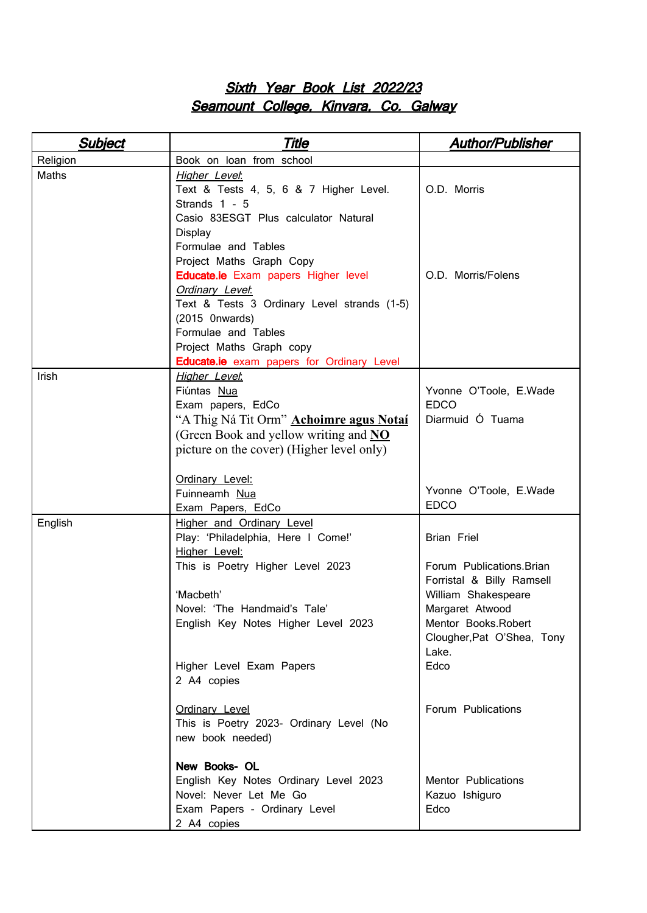## Sixth Year Book List 2022/23 Seamount College, Kinvara, Co. Galway

| Yvonne O'Toole, E.Wade     |
|----------------------------|
|                            |
|                            |
|                            |
|                            |
|                            |
|                            |
| Yvonne O'Toole, E.Wade     |
|                            |
|                            |
|                            |
|                            |
| Forum Publications. Brian  |
| Forristal & Billy Ramsell  |
|                            |
|                            |
| Mentor Books.Robert        |
| Clougher, Pat O'Shea, Tony |
|                            |
|                            |
|                            |
|                            |
|                            |
|                            |
|                            |
|                            |
|                            |
|                            |
|                            |
|                            |
| William Shakespeare        |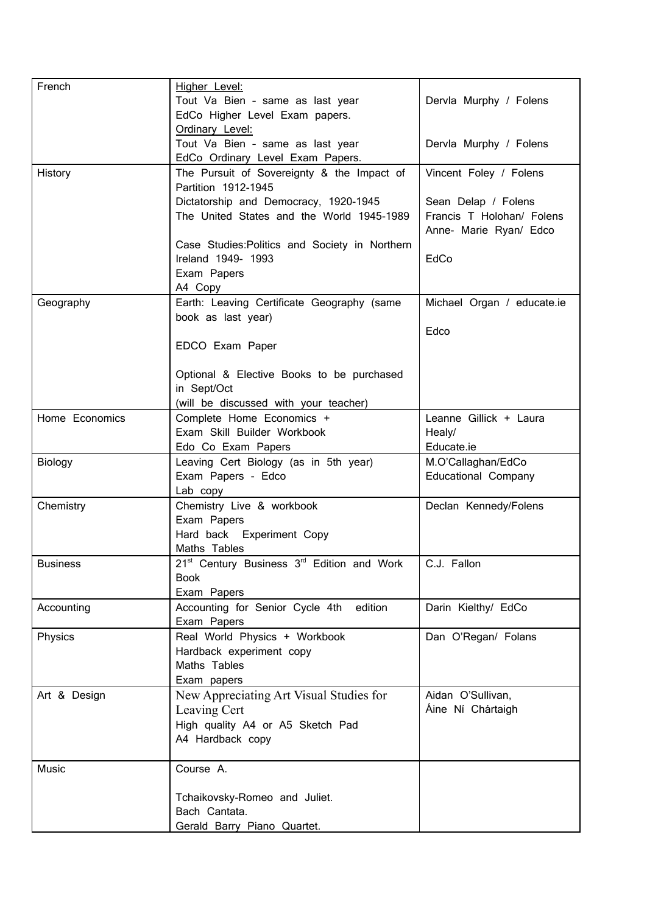| French          | Higher Level:                                                                     |                                                     |
|-----------------|-----------------------------------------------------------------------------------|-----------------------------------------------------|
|                 | Tout Va Bien - same as last year                                                  | Dervla Murphy / Folens                              |
|                 | EdCo Higher Level Exam papers.<br>Ordinary Level:                                 |                                                     |
|                 | Tout Va Bien - same as last year                                                  | Dervla Murphy / Folens                              |
|                 | EdCo Ordinary Level Exam Papers.                                                  |                                                     |
| History         | The Pursuit of Sovereignty & the Impact of                                        | Vincent Foley / Folens                              |
|                 | Partition 1912-1945                                                               |                                                     |
|                 | Dictatorship and Democracy, 1920-1945                                             | Sean Delap / Folens                                 |
|                 | The United States and the World 1945-1989                                         | Francis T Holohan/ Folens<br>Anne- Marie Ryan/ Edco |
|                 | Case Studies: Politics and Society in Northern                                    |                                                     |
|                 | Ireland 1949- 1993                                                                | EdCo                                                |
|                 | Exam Papers                                                                       |                                                     |
| Geography       | A4 Copy<br>Earth: Leaving Certificate Geography (same                             | Michael Organ / educate.ie                          |
|                 | book as last year)                                                                |                                                     |
|                 |                                                                                   | Edco                                                |
|                 | EDCO Exam Paper                                                                   |                                                     |
|                 |                                                                                   |                                                     |
|                 | Optional & Elective Books to be purchased                                         |                                                     |
|                 | in Sept/Oct                                                                       |                                                     |
| Home Economics  | (will be discussed with your teacher)<br>Complete Home Economics +                | Leanne Gillick + Laura                              |
|                 | Exam Skill Builder Workbook                                                       | Healy/                                              |
|                 | Edo Co Exam Papers                                                                | Educate.ie                                          |
|                 |                                                                                   |                                                     |
| Biology         | Leaving Cert Biology (as in 5th year)                                             | M.O'Callaghan/EdCo                                  |
|                 | Exam Papers - Edco                                                                | <b>Educational Company</b>                          |
|                 | Lab copy                                                                          |                                                     |
| Chemistry       | Chemistry Live & workbook                                                         | Declan Kennedy/Folens                               |
|                 | Exam Papers                                                                       |                                                     |
|                 | Hard back Experiment Copy                                                         |                                                     |
|                 | Maths Tables                                                                      |                                                     |
| <b>Business</b> | 21 <sup>st</sup> Century Business 3 <sup>rd</sup> Edition and Work<br><b>Book</b> | C.J. Fallon                                         |
|                 | Exam Papers                                                                       |                                                     |
| Accounting      | Accounting for Senior Cycle 4th edition                                           | Darin Kielthy/ EdCo                                 |
|                 | Exam Papers                                                                       |                                                     |
| Physics         | Real World Physics + Workbook                                                     | Dan O'Regan/ Folans                                 |
|                 | Hardback experiment copy                                                          |                                                     |
|                 | Maths Tables                                                                      |                                                     |
| Art & Design    | Exam papers                                                                       | Aidan O'Sullivan,                                   |
|                 | New Appreciating Art Visual Studies for<br>Leaving Cert                           | Áine Ní Chártaigh                                   |
|                 | High quality A4 or A5 Sketch Pad                                                  |                                                     |
|                 | A4 Hardback copy                                                                  |                                                     |
|                 |                                                                                   |                                                     |
| Music           | Course A.                                                                         |                                                     |
|                 |                                                                                   |                                                     |
|                 | Tchaikovsky-Romeo and Juliet.<br>Bach Cantata.                                    |                                                     |